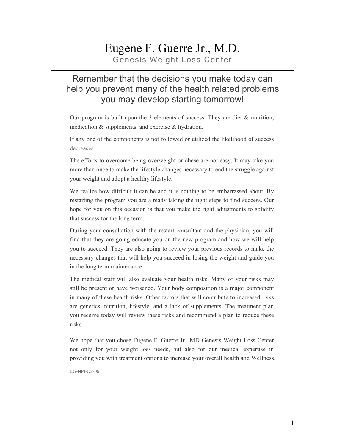# Eugene F. Guerre Jr., M.D.

Genesis Weight Loss Center

#### Remember that the decisions you make today can help you prevent many of the health related problems you may develop starting tomorrow!

Our program is built upon the 3 elements of success. They are diet & nutrition, medication & supplements, and exercise & hydration.

If any one of the components is not followed or utilized the likelihood of success decreases.

The efforts to overcome being overweight or obese are not easy. It may take you more than once to make the lifestyle changes necessary to end the struggle against your weight and adopt a healthy lifestyle.

We realize how difficult it can be and it is nothing to be embarrassed about. By restarting the program you are already taking the right steps to find success. Our hope for you on this occasion is that you make the right adjustments to solidify that success for the long term.

During your consultation with the restart consultant and the physician, you will find that they are going educate you on the new program and how we will help you to succeed. They are also going to review your previous records to make the necessary changes that will help you succeed in losing the weight and guide you in the long term maintenance.

The medical staff will also evaluate your health risks. Many of your risks may still be present or have worsened. Your body composition is a major component in many of these health risks. Other factors that will contribute to increased risks are genetics, nutrition, lifestyle, and a lack of supplements. The treatment plan you receive today will review these risks and recommend a plan to reduce these risks.

We hope that you chose Eugene F. Guerre Jr., MD Genesis Weight Loss Center not only for your weight loss needs, but also for our medical expertise in providing you with treatment options to increase your overall health and Wellness.

EG-NPI-Q2-09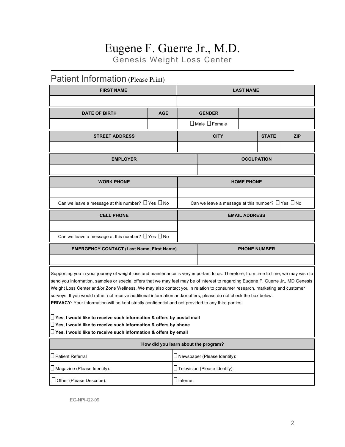### Eugene F. Guerre Jr., M.D. Genesis Weight Loss Center

### Patient Information (Please Print)

| <b>FIRST NAME</b>                                                                                                                                                                                                                                                                                                                                                                                                                                                                                                                                                                                                                                                                                                                                                                                                                                                              |            |                                      | <b>LAST NAME</b>                                            |                      |              |            |  |
|--------------------------------------------------------------------------------------------------------------------------------------------------------------------------------------------------------------------------------------------------------------------------------------------------------------------------------------------------------------------------------------------------------------------------------------------------------------------------------------------------------------------------------------------------------------------------------------------------------------------------------------------------------------------------------------------------------------------------------------------------------------------------------------------------------------------------------------------------------------------------------|------------|--------------------------------------|-------------------------------------------------------------|----------------------|--------------|------------|--|
|                                                                                                                                                                                                                                                                                                                                                                                                                                                                                                                                                                                                                                                                                                                                                                                                                                                                                |            |                                      |                                                             |                      |              |            |  |
| <b>DATE OF BIRTH</b>                                                                                                                                                                                                                                                                                                                                                                                                                                                                                                                                                                                                                                                                                                                                                                                                                                                           | <b>AGE</b> |                                      | <b>GENDER</b>                                               |                      |              |            |  |
|                                                                                                                                                                                                                                                                                                                                                                                                                                                                                                                                                                                                                                                                                                                                                                                                                                                                                |            |                                      | $\Box$ Male $\Box$ Female                                   |                      |              |            |  |
| <b>STREET ADDRESS</b>                                                                                                                                                                                                                                                                                                                                                                                                                                                                                                                                                                                                                                                                                                                                                                                                                                                          |            |                                      | <b>CITY</b>                                                 |                      | <b>STATE</b> | <b>ZIP</b> |  |
|                                                                                                                                                                                                                                                                                                                                                                                                                                                                                                                                                                                                                                                                                                                                                                                                                                                                                |            |                                      |                                                             |                      |              |            |  |
| <b>EMPLOYER</b>                                                                                                                                                                                                                                                                                                                                                                                                                                                                                                                                                                                                                                                                                                                                                                                                                                                                |            | <b>OCCUPATION</b>                    |                                                             |                      |              |            |  |
|                                                                                                                                                                                                                                                                                                                                                                                                                                                                                                                                                                                                                                                                                                                                                                                                                                                                                |            |                                      |                                                             |                      |              |            |  |
| <b>WORK PHONE</b>                                                                                                                                                                                                                                                                                                                                                                                                                                                                                                                                                                                                                                                                                                                                                                                                                                                              |            |                                      |                                                             | <b>HOME PHONE</b>    |              |            |  |
|                                                                                                                                                                                                                                                                                                                                                                                                                                                                                                                                                                                                                                                                                                                                                                                                                                                                                |            |                                      |                                                             |                      |              |            |  |
| Can we leave a message at this number? $\Box$ Yes $\Box$ No                                                                                                                                                                                                                                                                                                                                                                                                                                                                                                                                                                                                                                                                                                                                                                                                                    |            |                                      | Can we leave a message at this number? $\Box$ Yes $\Box$ No |                      |              |            |  |
| <b>CELL PHONE</b>                                                                                                                                                                                                                                                                                                                                                                                                                                                                                                                                                                                                                                                                                                                                                                                                                                                              |            |                                      |                                                             | <b>EMAIL ADDRESS</b> |              |            |  |
|                                                                                                                                                                                                                                                                                                                                                                                                                                                                                                                                                                                                                                                                                                                                                                                                                                                                                |            |                                      |                                                             |                      |              |            |  |
| Can we leave a message at this number? $\Box$ Yes $\Box$ No                                                                                                                                                                                                                                                                                                                                                                                                                                                                                                                                                                                                                                                                                                                                                                                                                    |            |                                      |                                                             |                      |              |            |  |
| <b>EMERGENCY CONTACT (Last Name, First Name)</b>                                                                                                                                                                                                                                                                                                                                                                                                                                                                                                                                                                                                                                                                                                                                                                                                                               |            | <b>PHONE NUMBER</b>                  |                                                             |                      |              |            |  |
|                                                                                                                                                                                                                                                                                                                                                                                                                                                                                                                                                                                                                                                                                                                                                                                                                                                                                |            |                                      |                                                             |                      |              |            |  |
| Supporting you in your journey of weight loss and maintenance is very important to us. Therefore, from time to time, we may wish to<br>send you information, samples or special offers that we may feel may be of interest to regarding Eugene F. Guerre Jr., MD Genesis<br>Weight Loss Center and/or Zone Wellness. We may also contact you in relation to consumer research, marketing and customer<br>surveys. If you would rather not receive additional information and/or offers, please do not check the box below.<br>PRIVACY: Your information will be kept strictly confidential and not provided to any third parties.<br>$\square$ Yes, I would like to receive such information & offers by postal mail<br>$\square$ Yes, I would like to receive such information & offers by phone<br>$\square$ Yes, I would like to receive such information & offers by email |            |                                      |                                                             |                      |              |            |  |
|                                                                                                                                                                                                                                                                                                                                                                                                                                                                                                                                                                                                                                                                                                                                                                                                                                                                                |            | How did you learn about the program? |                                                             |                      |              |            |  |
| $\Box$ Patient Referral                                                                                                                                                                                                                                                                                                                                                                                                                                                                                                                                                                                                                                                                                                                                                                                                                                                        |            | $\Box$ Newspaper (Please Identify):  |                                                             |                      |              |            |  |
| $\square$ Magazine (Please Identify):                                                                                                                                                                                                                                                                                                                                                                                                                                                                                                                                                                                                                                                                                                                                                                                                                                          |            | $\Box$ Television (Please Identify): |                                                             |                      |              |            |  |
| Other (Please Describe):                                                                                                                                                                                                                                                                                                                                                                                                                                                                                                                                                                                                                                                                                                                                                                                                                                                       |            | $\Box$ Internet                      |                                                             |                      |              |            |  |

EG-NPI-Q2-09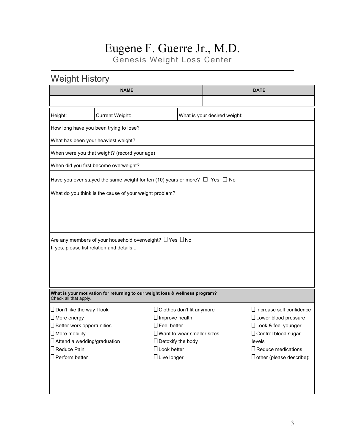### Eugene F. Guerre Jr., M.D. Genesis Weight Loss Center

### Weight History

|                                          | <b>NAME</b>                                                                           |                          | <b>DATE</b>                          |                              |                                 |  |  |  |
|------------------------------------------|---------------------------------------------------------------------------------------|--------------------------|--------------------------------------|------------------------------|---------------------------------|--|--|--|
|                                          |                                                                                       |                          |                                      |                              |                                 |  |  |  |
| Height:                                  | Current Weight:                                                                       |                          |                                      | What is your desired weight: |                                 |  |  |  |
|                                          | How long have you been trying to lose?                                                |                          |                                      |                              |                                 |  |  |  |
|                                          | What has been your heaviest weight?                                                   |                          |                                      |                              |                                 |  |  |  |
|                                          | When were you that weight? (record your age)                                          |                          |                                      |                              |                                 |  |  |  |
|                                          | When did you first become overweight?                                                 |                          |                                      |                              |                                 |  |  |  |
|                                          | Have you ever stayed the same weight for ten (10) years or more? $\Box$ Yes $\Box$ No |                          |                                      |                              |                                 |  |  |  |
|                                          | What do you think is the cause of your weight problem?                                |                          |                                      |                              |                                 |  |  |  |
|                                          |                                                                                       |                          |                                      |                              |                                 |  |  |  |
|                                          |                                                                                       |                          |                                      |                              |                                 |  |  |  |
|                                          |                                                                                       |                          |                                      |                              |                                 |  |  |  |
| If yes, please list relation and details | Are any members of your household overweight? $\Box$ Yes $\Box$ No                    |                          |                                      |                              |                                 |  |  |  |
|                                          |                                                                                       |                          |                                      |                              |                                 |  |  |  |
|                                          |                                                                                       |                          |                                      |                              |                                 |  |  |  |
|                                          |                                                                                       |                          |                                      |                              |                                 |  |  |  |
| Check all that apply.                    | What is your motivation for returning to our weight loss & wellness program?          |                          |                                      |                              |                                 |  |  |  |
| $\Box$ Don't like the way I look         |                                                                                       |                          | $\Box$ Clothes don't fit anymore     |                              | $\Box$ Increase self confidence |  |  |  |
| $\square$ More energy                    |                                                                                       | $\Box$ Improve health    |                                      |                              | $\Box$ Lower blood pressure     |  |  |  |
| $\square$ Better work opportunities      |                                                                                       | $\Box$ Feel better       |                                      |                              | $\Box$ Look & feel younger      |  |  |  |
| $\Box$ More mobility                     |                                                                                       |                          | $\square$ Want to wear smaller sizes |                              | $\Box$ Control blood sugar      |  |  |  |
| $\Box$ Attend a wedding/graduation       |                                                                                       | $\Box$ Detoxify the body |                                      |                              | levels                          |  |  |  |
| $\Box$ Reduce Pain                       |                                                                                       | $\Box$ Look better       |                                      |                              | $\square$ Reduce medications    |  |  |  |
| $\Box$ Perform better                    |                                                                                       | $\Box$ Live longer       |                                      |                              | $\Box$ other (please describe): |  |  |  |
|                                          |                                                                                       |                          |                                      |                              |                                 |  |  |  |
|                                          |                                                                                       |                          |                                      |                              |                                 |  |  |  |
|                                          |                                                                                       |                          |                                      |                              |                                 |  |  |  |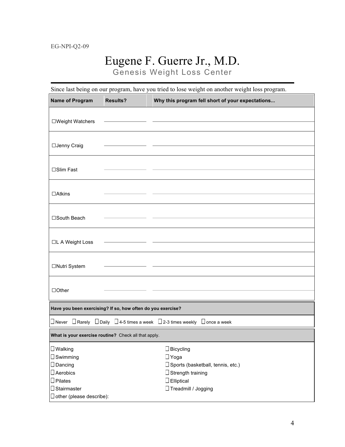# Eugene F. Guerre Jr., M.D.

Genesis Weight Loss Center

| <b>Name of Program</b>                                      | <b>Results?</b> | Why this program fell short of your expectations                                                           |
|-------------------------------------------------------------|-----------------|------------------------------------------------------------------------------------------------------------|
| □Weight Watchers                                            |                 |                                                                                                            |
|                                                             |                 |                                                                                                            |
| □Jenny Craig                                                |                 |                                                                                                            |
| □Slim Fast                                                  |                 |                                                                                                            |
| $\Box$ Atkins                                               |                 |                                                                                                            |
| □South Beach                                                |                 |                                                                                                            |
| □L A Weight Loss                                            |                 |                                                                                                            |
| □Nutri System                                               |                 |                                                                                                            |
| $\Box$ Other                                                |                 |                                                                                                            |
| Have you been exercising? If so, how often do you exercise? |                 |                                                                                                            |
|                                                             |                 | $\Box$ Never $\Box$ Rarely $\Box$ Daily $\Box$ 4-5 times a week $\Box$ 2-3 times weekly $\Box$ once a week |
| What is your exercise routine? Check all that apply.        |                 |                                                                                                            |
| $\square$ Walking                                           |                 | $\Box$ Bicycling                                                                                           |
| $\Box$ Swimming                                             |                 | $\Box$ Yoga                                                                                                |
| $\Box$ Dancing                                              |                 | □ Sports (basketball, tennis, etc.)                                                                        |
| $\Box$ Aerobics                                             |                 | $\Box$ Strength training                                                                                   |
| $\Box$ Pilates                                              |                 | $\square$ Elliptical                                                                                       |
| $\Box$ Stairmaster                                          |                 | □ Treadmill / Jogging                                                                                      |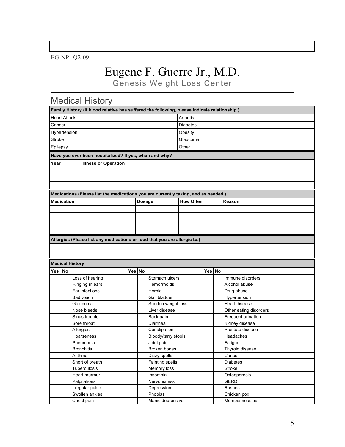EG-NPI-Q2-09

# Eugene F. Guerre Jr., M.D.

Genesis Weight Loss Center

## Medical History

| Family History (If blood relative has suffered the following, please indicate relationship.) |                        |                                                                                    |        |              |                                     |                  |        |                               |
|----------------------------------------------------------------------------------------------|------------------------|------------------------------------------------------------------------------------|--------|--------------|-------------------------------------|------------------|--------|-------------------------------|
|                                                                                              | <b>Heart Attack</b>    |                                                                                    |        | Arthritis    |                                     |                  |        |                               |
| Cancer                                                                                       |                        |                                                                                    |        |              | <b>Diabetes</b>                     |                  |        |                               |
|                                                                                              | Hypertension           |                                                                                    |        | Obesity      |                                     |                  |        |                               |
| <b>Stroke</b>                                                                                |                        |                                                                                    |        |              | Glaucoma                            |                  |        |                               |
| Epilepsy                                                                                     |                        |                                                                                    |        |              |                                     | Other            |        |                               |
| Have you ever been hospitalized? If yes, when and why?                                       |                        |                                                                                    |        |              |                                     |                  |        |                               |
| Year                                                                                         |                        |                                                                                    |        |              |                                     |                  |        |                               |
|                                                                                              |                        | <b>Illness or Operation</b>                                                        |        |              |                                     |                  |        |                               |
|                                                                                              |                        |                                                                                    |        |              |                                     |                  |        |                               |
|                                                                                              |                        |                                                                                    |        |              |                                     |                  |        |                               |
|                                                                                              |                        |                                                                                    |        |              |                                     |                  |        |                               |
|                                                                                              |                        | Medications (Please list the medications you are currently taking, and as needed.) |        |              |                                     |                  |        |                               |
|                                                                                              | <b>Medication</b>      |                                                                                    |        | Dosage       |                                     | <b>How Often</b> |        | Reason                        |
|                                                                                              |                        |                                                                                    |        |              |                                     |                  |        |                               |
|                                                                                              |                        |                                                                                    |        |              |                                     |                  |        |                               |
|                                                                                              |                        |                                                                                    |        |              |                                     |                  |        |                               |
|                                                                                              |                        |                                                                                    |        |              |                                     |                  |        |                               |
|                                                                                              |                        | Allergies (Please list any medications or food that you are allergic to.)          |        |              |                                     |                  |        |                               |
|                                                                                              |                        |                                                                                    |        |              |                                     |                  |        |                               |
|                                                                                              |                        |                                                                                    |        |              |                                     |                  |        |                               |
|                                                                                              |                        |                                                                                    |        |              |                                     |                  |        |                               |
|                                                                                              | <b>Medical History</b> |                                                                                    |        |              |                                     |                  |        |                               |
| Yes                                                                                          | <b>No</b>              |                                                                                    | Yes No |              |                                     |                  | Yes No |                               |
|                                                                                              |                        | Loss of hearing                                                                    |        |              | Stomach ulcers                      |                  |        | Immune disorders              |
|                                                                                              |                        | Ringing in ears                                                                    |        |              | Hemorrhoids                         |                  |        | Alcohol abuse                 |
|                                                                                              |                        | Ear infections                                                                     |        |              | Hernia                              |                  |        | Drug abuse                    |
|                                                                                              |                        | <b>Bad vision</b>                                                                  |        |              | Gall bladder                        |                  |        | Hypertension<br>Heart disease |
|                                                                                              |                        | Glaucoma<br>Nose bleeds                                                            |        |              | Sudden weight loss<br>Liver disease |                  |        | Other eating disorders        |
|                                                                                              |                        | Sinus trouble                                                                      |        |              | Back pain                           |                  |        | Frequent urination            |
|                                                                                              |                        | Sore throat                                                                        |        |              | Diarrhea                            |                  |        | Kidney disease                |
|                                                                                              |                        | Allergies                                                                          |        |              | Constipation                        |                  |        | Prostate disease              |
|                                                                                              |                        | Hoarseness                                                                         |        |              | Bloody/tarry stools                 |                  |        | Headaches                     |
|                                                                                              |                        | Pneumonia                                                                          |        |              | Joint pain                          |                  |        | Fatigue                       |
|                                                                                              |                        | <b>Bronchitis</b>                                                                  |        | Broken bones |                                     |                  |        | Thyroid disease               |
|                                                                                              |                        | Asthma                                                                             |        | Dizzy spells |                                     |                  |        | Cancer                        |
|                                                                                              |                        | Short of breath                                                                    |        |              | Fainting spells                     |                  |        | <b>Diabetes</b>               |
|                                                                                              |                        | Tuberculosis                                                                       |        |              | Memory loss                         |                  |        | Stroke                        |
|                                                                                              |                        | Heart murmur                                                                       |        |              | Insomnia                            |                  |        | Osteoporosis                  |
|                                                                                              |                        | Palpitations                                                                       |        |              | Nervousness                         |                  |        | <b>GERD</b>                   |
|                                                                                              |                        | Irregular pulse                                                                    |        |              | Depression                          |                  |        | Rashes                        |
|                                                                                              |                        | Swollen ankles                                                                     |        |              | Phobias                             |                  |        | Chicken pox                   |
|                                                                                              |                        | Chest pain                                                                         |        |              | Manic depressive                    |                  |        | Mumps/measles                 |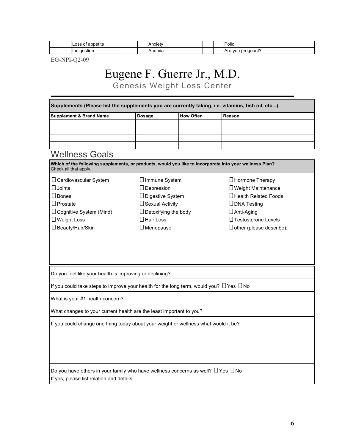|  | .<br>appetite<br>∟ບວວ |  | $\mathbf{A}$ and $\mathbf{A}$<br>$.$ Ale $\cdot$ |  | Polio<br>__                      |
|--|-----------------------|--|--------------------------------------------------|--|----------------------------------|
|  | Ir<br>ıaestıor        |  | nemia                                            |  | pregnant'<br>$\mathbf{v}$<br>AIC |

EG-NPI-Q2-09

# Eugene F. Guerre Jr., M.D.

Genesis Weight Loss Center

|                                                                                                                                  | <b>Dosage</b>               | <b>How Often</b> | Reason                          |
|----------------------------------------------------------------------------------------------------------------------------------|-----------------------------|------------------|---------------------------------|
|                                                                                                                                  |                             |                  |                                 |
|                                                                                                                                  |                             |                  |                                 |
|                                                                                                                                  |                             |                  |                                 |
|                                                                                                                                  |                             |                  |                                 |
| <b>Wellness Goals</b>                                                                                                            |                             |                  |                                 |
| Which of the following supplements, or products, would you like to incorporate into your wellness Plan?<br>Check all that apply. |                             |                  |                                 |
| □ Cardiovascular System                                                                                                          | □ Immune System             |                  | □ Hormone Therapy               |
| $\square$ Joints                                                                                                                 | $\Box$ Depression           |                  | $\Box$ Weight Maintenance       |
| $\square$ Bones                                                                                                                  | □ Digestive System          |                  | □ Health Related Foods          |
| $\Box$ Prostate                                                                                                                  | □ Sexual Activity           |                  | □ DNA Testing                   |
| $\Box$ Cognitive System (Mind)                                                                                                   | $\Box$ Detoxifying the body |                  | $\Box$ Anti-Aging               |
| $\Box$ Weight Loss                                                                                                               | $\Box$ Hair Loss            |                  | □ Testosterone Levels           |
|                                                                                                                                  |                             |                  |                                 |
| □ Beauty/Hair/Skin                                                                                                               | $\Box$ Menopause            |                  | $\Box$ other (please describe): |
|                                                                                                                                  |                             |                  |                                 |
| Do you feel like your health is improving or declining?                                                                          |                             |                  |                                 |
| If you could take steps to improve your health for the long term, would you? $\Box$ Yes $\Box$ No                                |                             |                  |                                 |
| What is your #1 health concern?                                                                                                  |                             |                  |                                 |
| What changes to your current health are the least important to you?                                                              |                             |                  |                                 |
|                                                                                                                                  |                             |                  |                                 |
| If you could change one thing today about your weight or wellness what would it be?                                              |                             |                  |                                 |
|                                                                                                                                  |                             |                  |                                 |
|                                                                                                                                  |                             |                  |                                 |
|                                                                                                                                  |                             |                  |                                 |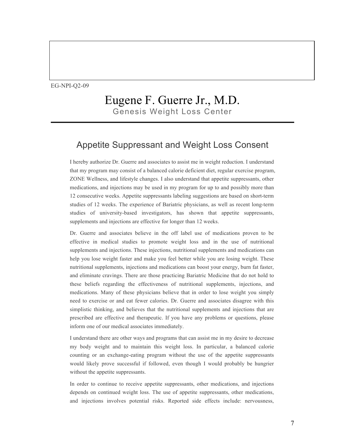#### Eugene F. Guerre Jr., M.D. Genesis Weight Loss Center

#### Appetite Suppressant and Weight Loss Consent

I hereby authorize Dr. Guerre and associates to assist me in weight reduction. I understand that my program may consist of a balanced calorie deficient diet, regular exercise program, ZONE Wellness, and lifestyle changes. I also understand that appetite suppressants, other medications, and injections may be used in my program for up to and possibly more than 12 consecutive weeks. Appetite suppressants labeling suggestions are based on short-term studies of 12 weeks. The experience of Bariatric physicians, as well as recent long-term studies of university-based investigators, has shown that appetite suppressants, supplements and injections are effective for longer than 12 weeks.

Dr. Guerre and associates believe in the off label use of medications proven to be effective in medical studies to promote weight loss and in the use of nutritional supplements and injections. These injections, nutritional supplements and medications can help you lose weight faster and make you feel better while you are losing weight. These nutritional supplements, injections and medications can boost your energy, burn fat faster, and eliminate cravings. There are those practicing Bariatric Medicine that do not hold to these beliefs regarding the effectiveness of nutritional supplements, injections, and medications. Many of these physicians believe that in order to lose weight you simply need to exercise or and eat fewer calories. Dr. Guerre and associates disagree with this simplistic thinking, and believes that the nutritional supplements and injections that are prescribed are effective and therapeutic. If you have any problems or questions, please inform one of our medical associates immediately.

I understand there are other ways and programs that can assist me in my desire to decrease my body weight and to maintain this weight loss. In particular, a balanced calorie counting or an exchange-eating program without the use of the appetite suppressants would likely prove successful if followed, even though I would probably be hungrier without the appetite suppressants.

In order to continue to receive appetite suppressants, other medications, and injections depends on continued weight loss. The use of appetite suppressants, other medications, and injections involves potential risks. Reported side effects include: nervousness,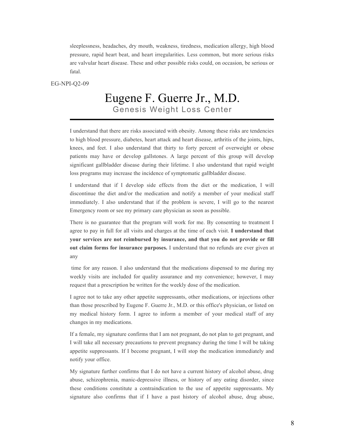sleeplessness, headaches, dry mouth, weakness, tiredness, medication allergy, high blood pressure, rapid heart beat, and heart irregularities. Less common, but more serious risks are valvular heart disease. These and other possible risks could, on occasion, be serious or fatal.

EG-NPI-Q2-09

#### Eugene F. Guerre Jr., M.D. Genesis Weight Loss Center

I understand that there are risks associated with obesity. Among these risks are tendencies to high blood pressure, diabetes, heart attack and heart disease, arthritis of the joints, hips, knees, and feet. I also understand that thirty to forty percent of overweight or obese patients may have or develop gallstones. A large percent of this group will develop significant gallbladder disease during their lifetime. I also understand that rapid weight loss programs may increase the incidence of symptomatic gallbladder disease.

I understand that if I develop side effects from the diet or the medication, I will discontinue the diet and/or the medication and notify a member of your medical staff immediately. I also understand that if the problem is severe, I will go to the nearest Emergency room or see my primary care physician as soon as possible.

There is no guarantee that the program will work for me. By consenting to treatment I agree to pay in full for all visits and charges at the time of each visit. **I understand that your services are not reimbursed by insurance, and that you do not provide or fill out claim forms for insurance purposes.** I understand that no refunds are ever given at any

time for any reason. I also understand that the medications dispensed to me during my weekly visits are included for quality assurance and my convenience; however, I may request that a prescription be written for the weekly dose of the medication.

I agree not to take any other appetite suppressants, other medications, or injections other than those prescribed by Eugene F. Guerre Jr., M.D. or this office's physician, or listed on my medical history form. I agree to inform a member of your medical staff of any changes in my medications.

If a female, my signature confirms that I am not pregnant, do not plan to get pregnant, and I will take all necessary precautions to prevent pregnancy during the time I will be taking appetite suppressants. If I become pregnant, I will stop the medication immediately and notify your office.

My signature further confirms that I do not have a current history of alcohol abuse, drug abuse, schizophrenia, manic-depressive illness, or history of any eating disorder, since these conditions constitute a contraindication to the use of appetite suppressants. My signature also confirms that if I have a past history of alcohol abuse, drug abuse,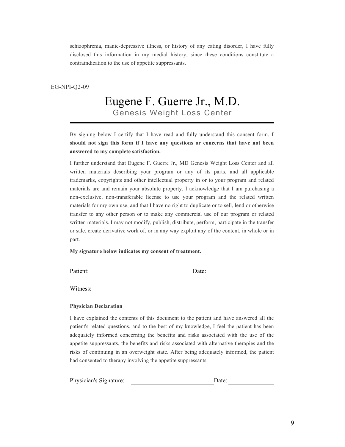schizophrenia, manic-depressive illness, or history of any eating disorder, I have fully disclosed this information in my medial history, since these conditions constitute a contraindication to the use of appetite suppressants.

EG-NPI-Q2-09

### Eugene F. Guerre Jr., M.D. Genesis Weight Loss Center

By signing below I certify that I have read and fully understand this consent form. **I should not sign this form if I have any questions or concerns that have not been answered to my complete satisfaction.** 

I further understand that Eugene F. Guerre Jr., MD Genesis Weight Loss Center and all written materials describing your program or any of its parts, and all applicable trademarks, copyrights and other intellectual property in or to your program and related materials are and remain your absolute property. I acknowledge that I am purchasing a non-exclusive, non-transferable license to use your program and the related written materials for my own use, and that I have no right to duplicate or to sell, lend or otherwise transfer to any other person or to make any commercial use of our program or related written materials. I may not modify, publish, distribute, perform, participate in the transfer or sale, create derivative work of, or in any way exploit any of the content, in whole or in part.

**My signature below indicates my consent of treatment.**

Patient: Date: Date:

Witness:

#### **Physician Declaration**

I have explained the contents of this document to the patient and have answered all the patient's related questions, and to the best of my knowledge, I feel the patient has been adequately informed concerning the benefits and risks associated with the use of the appetite suppressants, the benefits and risks associated with alternative therapies and the risks of continuing in an overweight state. After being adequately informed, the patient had consented to therapy involving the appetite suppressants.

Physician's Signature: Date: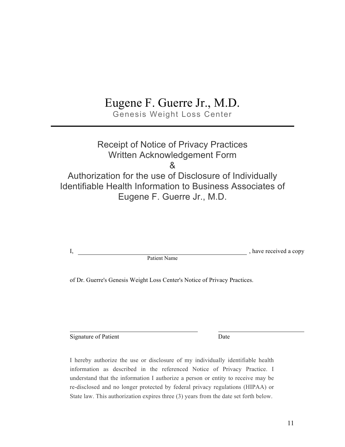# Eugene F. Guerre Jr., M.D.

Genesis Weight Loss Center

#### Receipt of Notice of Privacy Practices Written Acknowledgement Form & Authorization for the use of Disclosure of Individually Identifiable Health Information to Business Associates of Eugene F. Guerre Jr., M.D.

|              | , have received a copy |
|--------------|------------------------|
| Patient Name |                        |

of Dr. Guerre's Genesis Weight Loss Center's Notice of Privacy Practices.

Signature of Patient Date

I hereby authorize the use or disclosure of my individually identifiable health information as described in the referenced Notice of Privacy Practice. I understand that the information I authorize a person or entity to receive may be re-disclosed and no longer protected by federal privacy regulations (HIPAA) or State law. This authorization expires three (3) years from the date set forth below.